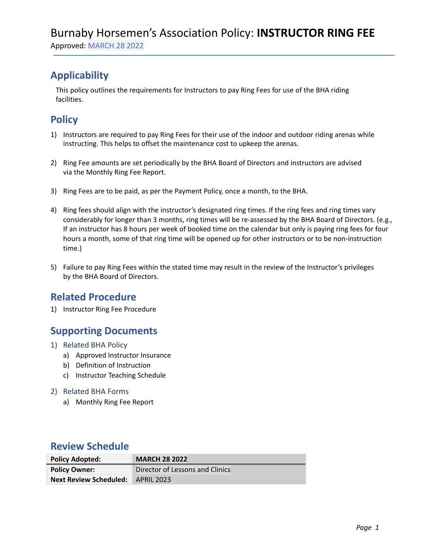# **Applicability**

This policy outlines the requirements for Instructors to pay Ring Fees for use of the BHA riding facilities.

## **Policy**

- 1) Instructors are required to pay Ring Fees for their use of the indoor and outdoor riding arenas while instructing. This helps to offset the maintenance cost to upkeep the arenas.
- 2) Ring Fee amounts are set periodically by the BHA Board of Directors and instructors are advised via the Monthly Ring Fee Report.
- 3) Ring Fees are to be paid, as per the Payment Policy, once a month, to the BHA.
- 4) Ring fees should align with the instructor's designated ring times. If the ring fees and ring times vary considerably for longer than 3 months, ring times will be re-assessed by the BHA Board of Directors. (e.g., If an instructor has 8 hours per week of booked time on the calendar but only is paying ring fees for four hours a month, some of that ring time will be opened up for other instructors or to be non-instruction time.)
- 5) Failure to pay Ring Fees within the stated time may result in the review of the Instructor's privileges by the BHA Board of Directors.

## **Related Procedure**

1) Instructor Ring Fee Procedure

## **Supporting Documents**

- 1) Related BHA Policy
	- a) Approved Instructor Insurance
	- b) Definition of Instruction
	- c) Instructor Teaching Schedule

#### 2) Related BHA Forms

a) Monthly Ring Fee Report

### **Review Schedule**

| <b>Policy Adopted:</b>        | <b>MARCH 28 2022</b>            |
|-------------------------------|---------------------------------|
| <b>Policy Owner:</b>          | Director of Lessons and Clinics |
| <b>Next Review Scheduled:</b> | APRIL 2023                      |